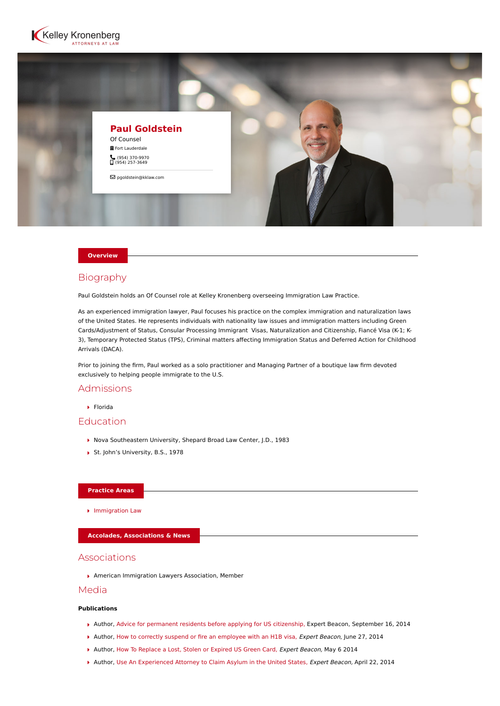



### **Overview**

## Biography

Paul Goldstein holds an Of Counsel role at Kelley Kronenberg overseeing Immigration Law Practice.

As an experienced immigration lawyer, Paul focuses his practice on the complex immigration and naturalization laws of the United States. He represents individuals with nationality law issues and immigration matters including Green Cards/Adjustment of Status, Consular Processing Immigrant Visas, Naturalization and Citizenship, Fiancé Visa (K-1; K-3), Temporary Protected Status (TPS), Criminal matters affecting Immigration Status and Deferred Action for Childhood Arrivals (DACA).

Prior to joining the firm, Paul worked as a solo practitioner and Managing Partner of a boutique law firm devoted exclusively to helping people immigrate to the U.S.

# Admissions

Florida

# Education

- ▶ Nova Southeastern University, Shepard Broad Law Center, J.D., 1983
- ▶ St. John's University, B.S., 1978

### **Practice Areas**

**[Immigration Law](https://www.kelleykronenberg.com/our-practices/immigration-law/)** 

**Accolades, Associations & News**

## Associations

American Immigration Lawyers Association, Member

## Media

### **Publications**

- Author, [Advice for permanent residents before applying for US citizenship,](https://web.archive.org/web/20200926213114/http:/expertbeacon.com/advice-permanent-residents-applying-us-citizenship/#.VByXZ4t0zG9) Expert Beacon, September 16, 2014
- Author, [How to correctly suspend or fire an employee with an H1B visa,](https://web.archive.org/web/20200926213114/http:/expertbeacon.com/how-correctly-suspend-or-fire-employee-h1b-visa#.U7qiS_ldVCM) Expert Beacon, June 27, 2014
- Author, [How To Replace a Lost, Stolen or Expired US Green Card,](https://web.archive.org/web/20200926213114/http:/expertbeacon.com/how-replace-lost-stolen-or-expired-us-green-card/#.U2j_X_ldUeg) Expert Beacon, May 6 2014
- Author, [Use An Experienced Attorney to Claim Asylum in the United States,](https://web.archive.org/web/20200926213114/http:/expertbeacon.com/use-experienced-attorney-claim-asylum-united-states/#.U1feFPldUeh) Expert Beacon, April 22, 2014